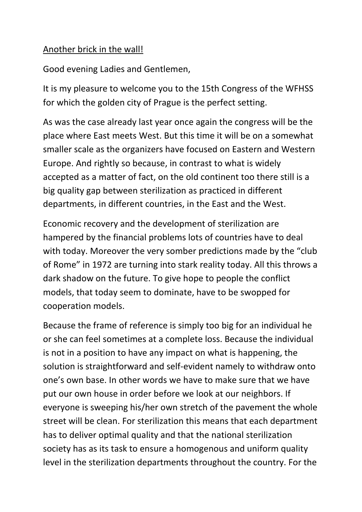## Another brick in the wall!

Good evening Ladies and Gentlemen,

It is my pleasure to welcome you to the 15th Congress of the WFHSS for which the golden city of Prague is the perfect setting.

As was the case already last year once again the congress will be the place where East meets West. But this time it will be on a somewhat smaller scale as the organizers have focused on Eastern and Western Europe. And rightly so because, in contrast to what is widely accepted as a matter of fact, on the old continent too there still is a big quality gap between sterilization as practiced in different departments, in different countries, in the East and the West.

Economic recovery and the development of sterilization are hampered by the financial problems lots of countries have to deal with today. Moreover the very somber predictions made by the "club of Rome" in 1972 are turning into stark reality today. All this throws a dark shadow on the future. To give hope to people the conflict models, that today seem to dominate, have to be swopped for cooperation models.

Because the frame of reference is simply too big for an individual he or she can feel sometimes at a complete loss. Because the individual is not in a position to have any impact on what is happening, the solution is straightforward and self-evident namely to withdraw onto one's own base. In other words we have to make sure that we have put our own house in order before we look at our neighbors. If everyone is sweeping his/her own stretch of the pavement the whole street will be clean. For sterilization this means that each department has to deliver optimal quality and that the national sterilization society has as its task to ensure a homogenous and uniform quality level in the sterilization departments throughout the country. For the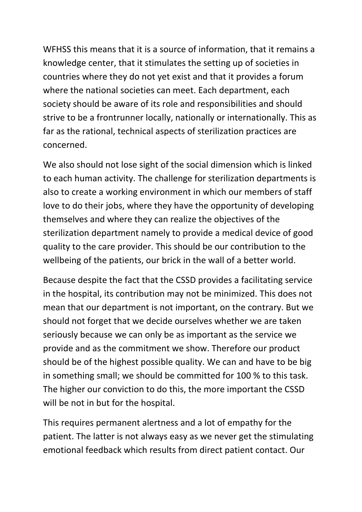WFHSS this means that it is a source of information, that it remains a knowledge center, that it stimulates the setting up of societies in countries where they do not yet exist and that it provides a forum where the national societies can meet. Each department, each society should be aware of its role and responsibilities and should strive to be a frontrunner locally, nationally or internationally. This as far as the rational, technical aspects of sterilization practices are concerned.

We also should not lose sight of the social dimension which is linked to each human activity. The challenge for sterilization departments is also to create a working environment in which our members of staff love to do their jobs, where they have the opportunity of developing themselves and where they can realize the objectives of the sterilization department namely to provide a medical device of good quality to the care provider. This should be our contribution to the wellbeing of the patients, our brick in the wall of a better world.

Because despite the fact that the CSSD provides a facilitating service in the hospital, its contribution may not be minimized. This does not mean that our department is not important, on the contrary. But we should not forget that we decide ourselves whether we are taken seriously because we can only be as important as the service we provide and as the commitment we show. Therefore our product should be of the highest possible quality. We can and have to be big in something small; we should be committed for 100 % to this task. The higher our conviction to do this, the more important the CSSD will be not in but for the hospital.

This requires permanent alertness and a lot of empathy for the patient. The latter is not always easy as we never get the stimulating emotional feedback which results from direct patient contact. Our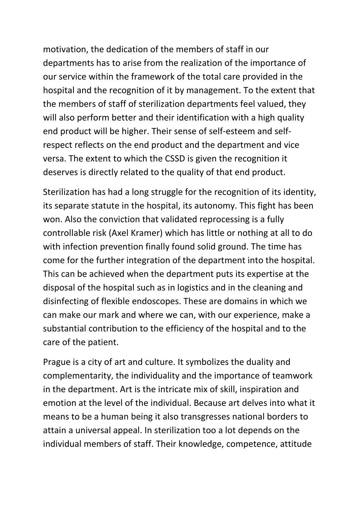motivation, the dedication of the members of staff in our departments has to arise from the realization of the importance of our service within the framework of the total care provided in the hospital and the recognition of it by management. To the extent that the members of staff of sterilization departments feel valued, they will also perform better and their identification with a high quality end product will be higher. Their sense of self-esteem and selfrespect reflects on the end product and the department and vice versa. The extent to which the CSSD is given the recognition it deserves is directly related to the quality of that end product.

Sterilization has had a long struggle for the recognition of its identity, its separate statute in the hospital, its autonomy. This fight has been won. Also the conviction that validated reprocessing is a fully controllable risk (Axel Kramer) which has little or nothing at all to do with infection prevention finally found solid ground. The time has come for the further integration of the department into the hospital. This can be achieved when the department puts its expertise at the disposal of the hospital such as in logistics and in the cleaning and disinfecting of flexible endoscopes. These are domains in which we can make our mark and where we can, with our experience, make a substantial contribution to the efficiency of the hospital and to the care of the patient.

Prague is a city of art and culture. It symbolizes the duality and complementarity, the individuality and the importance of teamwork in the department. Art is the intricate mix of skill, inspiration and emotion at the level of the individual. Because art delves into what it means to be a human being it also transgresses national borders to attain a universal appeal. In sterilization too a lot depends on the individual members of staff. Their knowledge, competence, attitude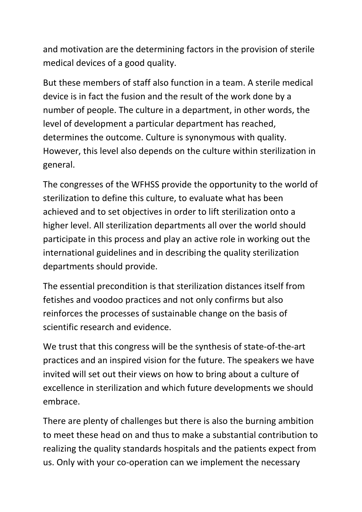and motivation are the determining factors in the provision of sterile medical devices of a good quality.

But these members of staff also function in a team. A sterile medical device is in fact the fusion and the result of the work done by a number of people. The culture in a department, in other words, the level of development a particular department has reached, determines the outcome. Culture is synonymous with quality. However, this level also depends on the culture within sterilization in general.

The congresses of the WFHSS provide the opportunity to the world of sterilization to define this culture, to evaluate what has been achieved and to set objectives in order to lift sterilization onto a higher level. All sterilization departments all over the world should participate in this process and play an active role in working out the international guidelines and in describing the quality sterilization departments should provide.

The essential precondition is that sterilization distances itself from fetishes and voodoo practices and not only confirms but also reinforces the processes of sustainable change on the basis of scientific research and evidence.

We trust that this congress will be the synthesis of state-of-the-art practices and an inspired vision for the future. The speakers we have invited will set out their views on how to bring about a culture of excellence in sterilization and which future developments we should embrace.

There are plenty of challenges but there is also the burning ambition to meet these head on and thus to make a substantial contribution to realizing the quality standards hospitals and the patients expect from us. Only with your co-operation can we implement the necessary